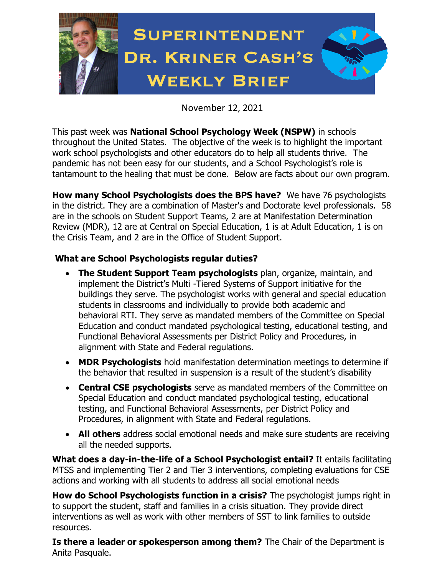

November 12, 2021

This past week was **National School Psychology Week (NSPW)** in schools throughout the United States. The objective of the week is to highlight the important work school psychologists and other educators do to help all students thrive. The pandemic has not been easy for our students, and a School Psychologist's role is tantamount to the healing that must be done. Below are facts about our own program.

**How many School Psychologists does the BPS have?** We have 76 psychologists in the district. They are a combination of Master's and Doctorate level professionals. 58 are in the schools on Student Support Teams, 2 are at Manifestation Determination Review (MDR), 12 are at Central on Special Education, 1 is at Adult Education, 1 is on the Crisis Team, and 2 are in the Office of Student Support.

## **What are School Psychologists regular duties?**

- **The Student Support Team psychologists** plan, organize, maintain, and implement the District's Multi -Tiered Systems of Support initiative for the buildings they serve. The psychologist works with general and special education students in classrooms and individually to provide both academic and behavioral RTI. They serve as mandated members of the Committee on Special Education and conduct mandated psychological testing, educational testing, and Functional Behavioral Assessments per District Policy and Procedures, in alignment with State and Federal regulations.
- **MDR Psychologists** hold manifestation determination meetings to determine if the behavior that resulted in suspension is a result of the student's disability
- **Central CSE psychologists** serve as mandated members of the Committee on Special Education and conduct mandated psychological testing, educational testing, and Functional Behavioral Assessments, per District Policy and Procedures, in alignment with State and Federal regulations.
- **All others** address social emotional needs and make sure students are receiving all the needed supports.

**What does a day-in-the-life of a School Psychologist entail?** It entails facilitating MTSS and implementing Tier 2 and Tier 3 interventions, completing evaluations for CSE actions and working with all students to address all social emotional needs

**How do School Psychologists function in a crisis?** The psychologist jumps right in to support the student, staff and families in a crisis situation. They provide direct interventions as well as work with other members of SST to link families to outside resources.

**Is there a leader or spokesperson among them?** The Chair of the Department is Anita Pasquale.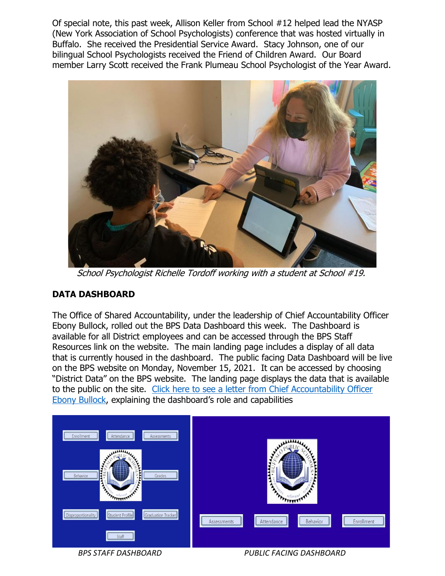Of special note, this past week, Allison Keller from School #12 helped lead the NYASP (New York Association of School Psychologists) conference that was hosted virtually in Buffalo. She received the Presidential Service Award. Stacy Johnson, one of our bilingual School Psychologists received the Friend of Children Award. Our Board member Larry Scott received the Frank Plumeau School Psychologist of the Year Award.



School Psychologist Richelle Tordoff working with a student at School #19.

### **DATA DASHBOARD**

The Office of Shared Accountability, under the leadership of Chief Accountability Officer Ebony Bullock, rolled out the BPS Data Dashboard this week. The Dashboard is available for all District employees and can be accessed through the BPS Staff Resources link on the website. The main landing page includes a display of all data that is currently housed in the dashboard. The public facing Data Dashboard will be live on the BPS website on Monday, November 15, 2021. It can be accessed by choosing "District Data" on the BPS website. The landing page displays the data that is available to the public on the site. Click here to see a letter [from Chief Accountability Officer](https://www.buffaloschools.org/Page/98566)  [Ebony Bullock](https://www.buffaloschools.org/Page/98566), explaining the dashboard's role and capabilities



 *BPS STAFF DASHBOARD PUBLIC FACING DASHBOARD*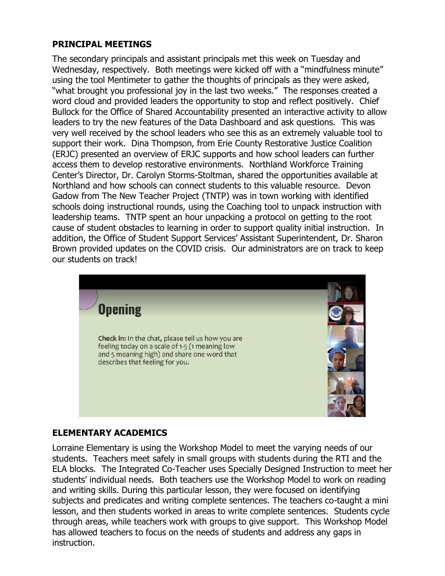#### **PRINCIPAL MEETINGS**

The secondary principals and assistant principals met this week on Tuesday and Wednesday, respectively. Both meetings were kicked off with a "mindfulness minute" using the tool Mentimeter to gather the thoughts of principals as they were asked, "what brought you professional joy in the last two weeks." The responses created a word cloud and provided leaders the opportunity to stop and reflect positively. Chief Bullock for the Office of Shared Accountability presented an interactive activity to allow leaders to try the new features of the Data Dashboard and ask questions. This was very well received by the school leaders who see this as an extremely valuable tool to support their work. Dina Thompson, from Erie County Restorative Justice Coalition (ERJC) presented an overview of ERJC supports and how school leaders can further access them to develop restorative environments. Northland Workforce Training Center's Director, Dr. Carolyn Storms-Stoltman, shared the opportunities available at Northland and how schools can connect students to this valuable resource. Devon Gadow from The New Teacher Project (TNTP) was in town working with identified schools doing instructional rounds, using the Coaching tool to unpack instruction with leadership teams. TNTP spent an hour unpacking a protocol on getting to the root cause of student obstacles to learning in order to support quality initial instruction. In addition, the Office of Student Support Services' Assistant Superintendent, Dr. Sharon Brown provided updates on the COVID crisis. Our administrators are on track to keep our students on track!



### **ELEMENTARY ACADEMICS**

Lorraine Elementary is using the Workshop Model to meet the varying needs of our students. Teachers meet safely in small groups with students during the RTI and the ELA blocks. The Integrated Co-Teacher uses Specially Designed Instruction to meet her students' individual needs. Both teachers use the Workshop Model to work on reading and writing skills. During this particular lesson, they were focused on identifying subjects and predicates and writing complete sentences. The teachers co-taught a mini lesson, and then students worked in areas to write complete sentences. Students cycle through areas, while teachers work with groups to give support. This Workshop Model has allowed teachers to focus on the needs of students and address any gaps in instruction.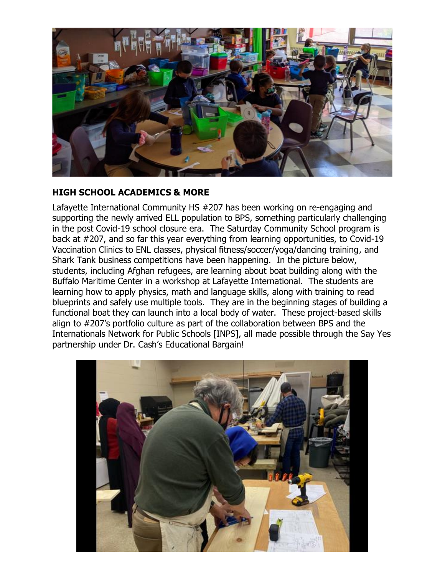

### **HIGH SCHOOL ACADEMICS & MORE**

Lafayette International Community HS #207 has been working on re-engaging and supporting the newly arrived ELL population to BPS, something particularly challenging in the post Covid-19 school closure era. The Saturday Community School program is back at #207, and so far this year everything from learning opportunities, to Covid-19 Vaccination Clinics to ENL classes, physical fitness/soccer/yoga/dancing training, and Shark Tank business competitions have been happening. In the picture below, students, including Afghan refugees, are learning about boat building along with the Buffalo Maritime Center in a workshop at Lafayette International. The students are learning how to apply physics, math and language skills, along with training to read blueprints and safely use multiple tools. They are in the beginning stages of building a functional boat they can launch into a local body of water. These project-based skills align to #207's portfolio culture as part of the collaboration between BPS and the Internationals Network for Public Schools [INPS], all made possible through the Say Yes partnership under Dr. Cash's Educational Bargain!

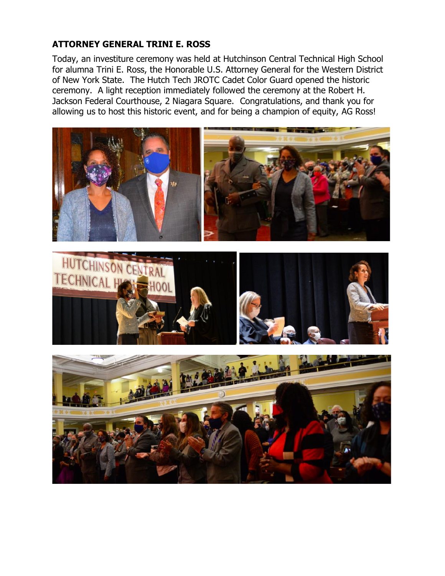### **ATTORNEY GENERAL TRINI E. ROSS**

Today, an investiture ceremony was held at Hutchinson Central Technical High School for alumna Trini E. Ross, the Honorable U.S. Attorney General for the Western District of New York State. The Hutch Tech JROTC Cadet Color Guard opened the historic ceremony. A light reception immediately followed the ceremony at the Robert H. Jackson Federal Courthouse, 2 Niagara Square. Congratulations, and thank you for allowing us to host this historic event, and for being a champion of equity, AG Ross!





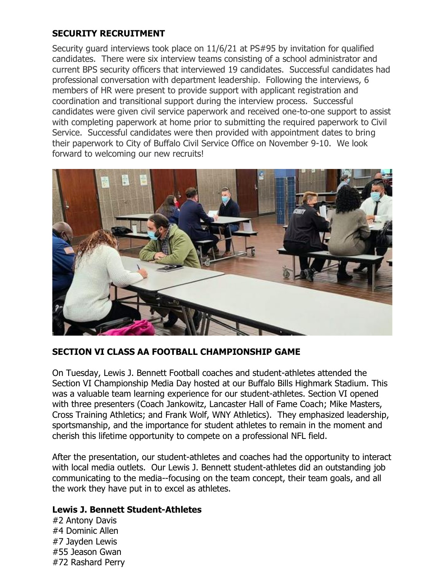## **SECURITY RECRUITMENT**

Security guard interviews took place on 11/6/21 at PS#95 by invitation for qualified candidates. There were six interview teams consisting of a school administrator and current BPS security officers that interviewed 19 candidates. Successful candidates had professional conversation with department leadership. Following the interviews, 6 members of HR were present to provide support with applicant registration and coordination and transitional support during the interview process. Successful candidates were given civil service paperwork and received one-to-one support to assist with completing paperwork at home prior to submitting the required paperwork to Civil Service. Successful candidates were then provided with appointment dates to bring their paperwork to City of Buffalo Civil Service Office on November 9-10. We look forward to welcoming our new recruits!



### **SECTION VI CLASS AA FOOTBALL CHAMPIONSHIP GAME**

On Tuesday, Lewis J. Bennett Football coaches and student-athletes attended the Section VI Championship Media Day hosted at our Buffalo Bills Highmark Stadium. This was a valuable team learning experience for our student-athletes. Section VI opened with three presenters (Coach Jankowitz, Lancaster Hall of Fame Coach; Mike Masters, Cross Training Athletics; and Frank Wolf, WNY Athletics). They emphasized leadership, sportsmanship, and the importance for student athletes to remain in the moment and cherish this lifetime opportunity to compete on a professional NFL field.

After the presentation, our student-athletes and coaches had the opportunity to interact with local media outlets. Our Lewis J. Bennett student-athletes did an outstanding job communicating to the media--focusing on the team concept, their team goals, and all the work they have put in to excel as athletes.

### **Lewis J. Bennett Student-Athletes**

#2 Antony Davis #4 Dominic Allen #7 Jayden Lewis #55 Jeason Gwan #72 Rashard Perry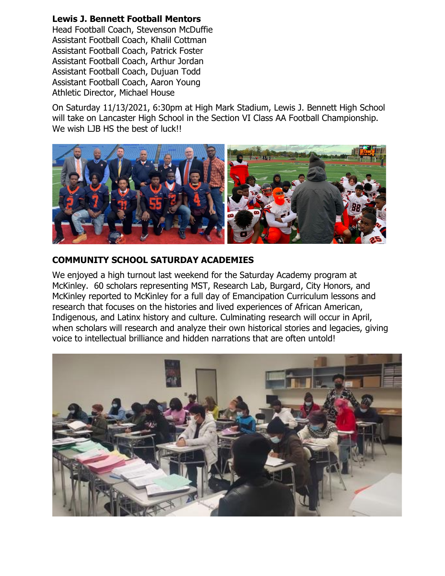### **Lewis J. Bennett Football Mentors**

Head Football Coach, Stevenson McDuffie Assistant Football Coach, Khalil Cottman Assistant Football Coach, Patrick Foster Assistant Football Coach, Arthur Jordan Assistant Football Coach, Dujuan Todd Assistant Football Coach, Aaron Young Athletic Director, Michael House

On Saturday 11/13/2021, 6:30pm at High Mark Stadium, Lewis J. Bennett High School will take on Lancaster High School in the Section VI Class AA Football Championship. We wish LJB HS the best of luck!!



### **COMMUNITY SCHOOL SATURDAY ACADEMIES**

We enjoyed a high turnout last weekend for the Saturday Academy program at McKinley. 60 scholars representing MST, Research Lab, Burgard, City Honors, and McKinley reported to McKinley for a full day of Emancipation Curriculum lessons and research that focuses on the histories and lived experiences of African American, Indigenous, and Latinx history and culture. Culminating research will occur in April, when scholars will research and analyze their own historical stories and legacies, giving voice to intellectual brilliance and hidden narrations that are often untold!